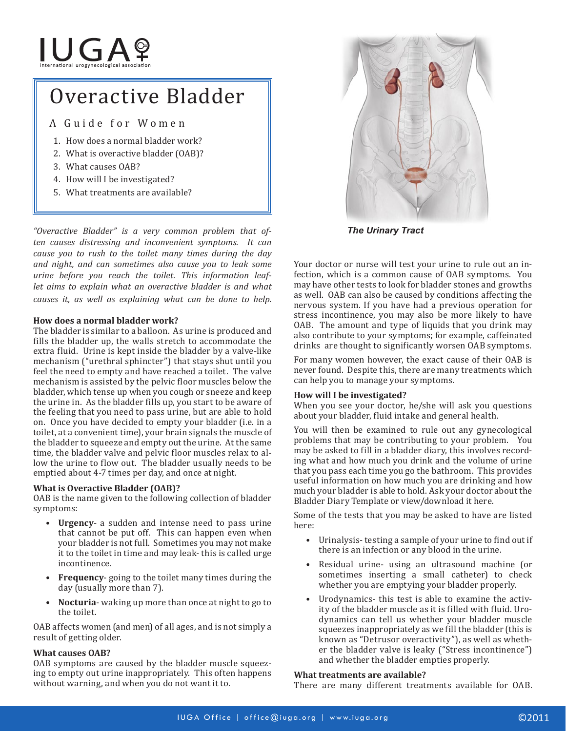# **IUGAº**

# Overactive Bladder

A Guide for Women

- 1. How does a normal bladder work?
- 2. What is overactive bladder (OAB)?
- 3. What causes OAB?
- 4. How will I be investigated?
- 5. What treatments are available?

*"Overactive Bladder" is a very common problem that often causes distressing and inconvenient symptoms. It can cause you to rush to the toilet many times during the day and night, and can sometimes also cause you to leak some urine before you reach the toilet. This information leaflet aims to explain what an overactive bladder is and what causes it, as well as explaining what can be done to help.*

## **How does a normal bladder work?**

The bladder is similar to a balloon. As urine is produced and fills the bladder up, the walls stretch to accommodate the extra fluid. Urine is kept inside the bladder by a valve-like mechanism ("urethral sphincter") that stays shut until you feel the need to empty and have reached a toilet. The valve mechanism is assisted by the pelvic floor muscles below the bladder, which tense up when you cough or sneeze and keep the urine in. As the bladder fills up, you start to be aware of the feeling that you need to pass urine, but are able to hold on. Once you have decided to empty your bladder (i.e. in a toilet, at a convenient time), your brain signals the muscle of the bladder to squeeze and empty out the urine. At the same time, the bladder valve and pelvic floor muscles relax to allow the urine to flow out. The bladder usually needs to be emptied about 4-7 times per day, and once at night.

## **What is Overactive Bladder (OAB)?**

OAB is the name given to the following collection of bladder symptoms:

- **• Urgency** a sudden and intense need to pass urine that cannot be put off. This can happen even when your bladder is not full. Sometimes you may not make it to the toilet in time and may leak- this is called urge incontinence.
- **Frequency** going to the toilet many times during the day (usually more than 7).
- **Nocturia** waking up more than once at night to go to the toilet.

OAB affects women (and men) of all ages, and is not simply a result of getting older.

## **What causes OAB?**

OAB symptoms are caused by the bladder muscle squeezing to empty out urine inappropriately. This often happens without warning, and when you do not want it to.



*The Urinary Tract*

Your doctor or nurse will test your urine to rule out an infection, which is a common cause of OAB symptoms. You may have other tests to look for bladder stones and growths as well. OAB can also be caused by conditions affecting the nervous system. If you have had a previous operation for stress incontinence, you may also be more likely to have OAB. The amount and type of liquids that you drink may also contribute to your symptoms; for example, caffeinated drinks are thought to significantly worsen OAB symptoms.

For many women however, the exact cause of their OAB is never found. Despite this, there are many treatments which can help you to manage your symptoms.

## **How will I be investigated?**

When you see your doctor, he/she will ask you questions about your bladder, fluid intake and general health.

You will then be examined to rule out any gynecological problems that may be contributing to your problem. You may be asked to fill in a bladder diary, this involves recording what and how much you drink and the volume of urine that you pass each time you go the bathroom. This provides useful information on how much you are drinking and how much your bladder is able to hold. Ask your doctor about the Bladder Diary Template or view/download it here.

Some of the tests that you may be asked to have are listed here:

- Urinalysis- testing a sample of your urine to find out if there is an infection or any blood in the urine.
- Residual urine- using an ultrasound machine (or sometimes inserting a small catheter) to check whether you are emptying your bladder properly.
- Urodynamics- this test is able to examine the activity of the bladder muscle as it is filled with fluid. Urodynamics can tell us whether your bladder muscle squeezes inappropriately as we fill the bladder (this is known as "Detrusor overactivity"), as well as whether the bladder valve is leaky ("Stress incontinence") and whether the bladder empties properly.

## **What treatments are available?**

There are many different treatments available for OAB.